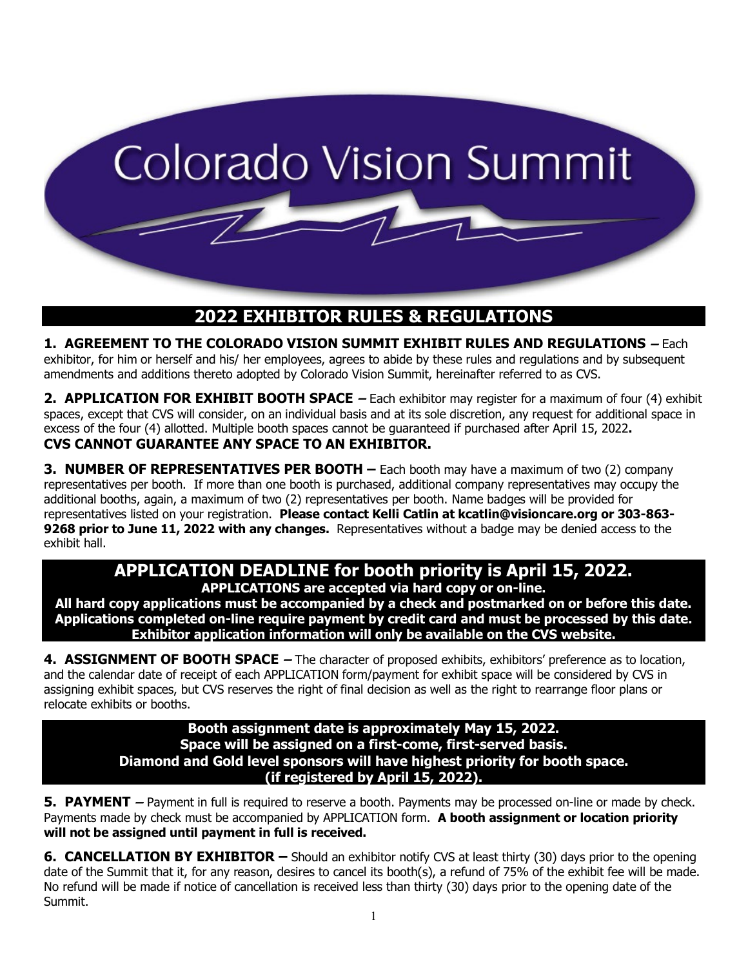

## **2022 EXHIBITOR RULES & REGULATIONS**

**1. AGREEMENT TO THE COLORADO VISION SUMMIT EXHIBIT RULES AND REGULATIONS** – Each exhibitor, for him or herself and his/ her employees, agrees to abide by these rules and regulations and by subsequent amendments and additions thereto adopted by Colorado Vision Summit, hereinafter referred to as CVS.

**2. APPLICATION FOR EXHIBIT BOOTH SPACE** – Each exhibitor may register for a maximum of four (4) exhibit spaces, except that CVS will consider, on an individual basis and at its sole discretion, any request for additional space in excess of the four (4) allotted. Multiple booth spaces cannot be guaranteed if purchased after April 15, 2022**. CVS CANNOT GUARANTEE ANY SPACE TO AN EXHIBITOR.**

**3. NUMBER OF REPRESENTATIVES PER BOOTH –** Each booth may have a maximum of two (2) company representatives per booth. If more than one booth is purchased, additional company representatives may occupy the additional booths, again, a maximum of two (2) representatives per booth. Name badges will be provided for representatives listed on your registration. **Please contact Kelli Catlin at kcatlin@visioncare.org or 303-863- 9268 prior to June 11, 2022 with any changes.** Representatives without a badge may be denied access to the exhibit hall.

## **APPLICATION DEADLINE for booth priority is April 15, 2022. APPLICATIONS are accepted via hard copy or on-line.**

**All hard copy applications must be accompanied by a check and postmarked on or before this date. Applications completed on-line require payment by credit card and must be processed by this date. Exhibitor application information will only be available on the CVS website.**

**4. ASSIGNMENT OF BOOTH SPACE** – The character of proposed exhibits, exhibitors' preference as to location, and the calendar date of receipt of each APPLICATION form/payment for exhibit space will be considered by CVS in assigning exhibit spaces, but CVS reserves the right of final decision as well as the right to rearrange floor plans or relocate exhibits or booths.

> **Booth assignment date is approximately May 15, 2022. Space will be assigned on a first-come, first-served basis. Diamond and Gold level sponsors will have highest priority for booth space. (if registered by April 15, 2022).**

**5. PAYMENT** – Payment in full is required to reserve a booth. Payments may be processed on-line or made by check. Payments made by check must be accompanied by APPLICATION form. **A booth assignment or location priority will not be assigned until payment in full is received.**

**6. CANCELLATION BY EXHIBITOR –** Should an exhibitor notify CVS at least thirty (30) days prior to the opening date of the Summit that it, for any reason, desires to cancel its booth(s), a refund of 75% of the exhibit fee will be made. No refund will be made if notice of cancellation is received less than thirty (30) days prior to the opening date of the Summit.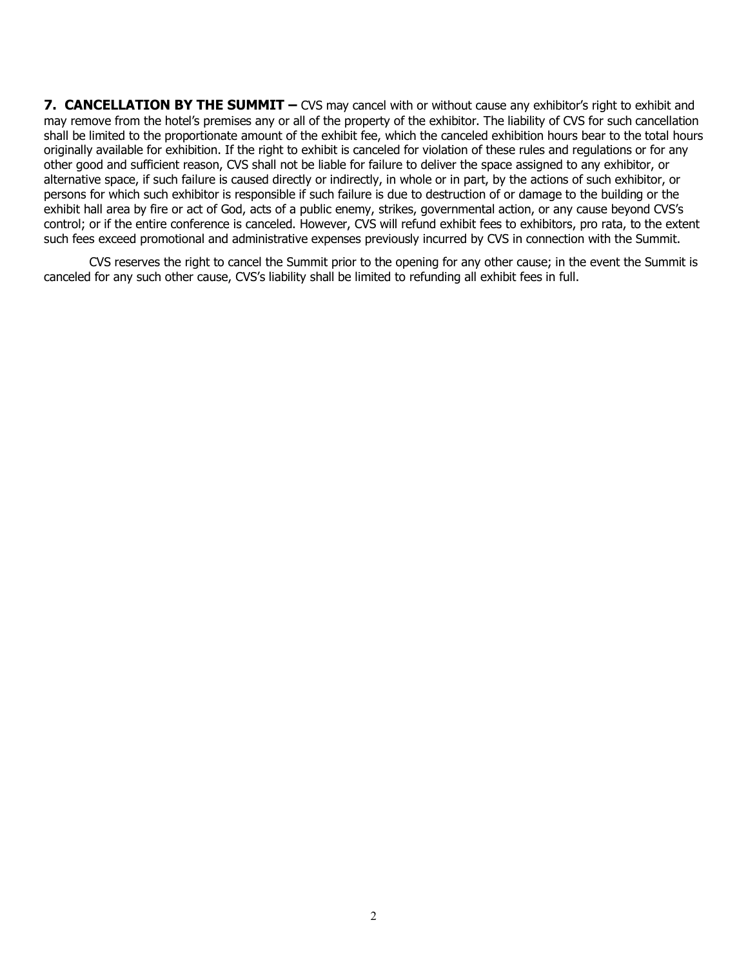**7. CANCELLATION BY THE SUMMIT –** CVS may cancel with or without cause any exhibitor's right to exhibit and may remove from the hotel's premises any or all of the property of the exhibitor. The liability of CVS for such cancellation shall be limited to the proportionate amount of the exhibit fee, which the canceled exhibition hours bear to the total hours originally available for exhibition. If the right to exhibit is canceled for violation of these rules and regulations or for any other good and sufficient reason, CVS shall not be liable for failure to deliver the space assigned to any exhibitor, or alternative space, if such failure is caused directly or indirectly, in whole or in part, by the actions of such exhibitor, or persons for which such exhibitor is responsible if such failure is due to destruction of or damage to the building or the exhibit hall area by fire or act of God, acts of a public enemy, strikes, governmental action, or any cause beyond CVS's control; or if the entire conference is canceled. However, CVS will refund exhibit fees to exhibitors, pro rata, to the extent such fees exceed promotional and administrative expenses previously incurred by CVS in connection with the Summit.

CVS reserves the right to cancel the Summit prior to the opening for any other cause; in the event the Summit is canceled for any such other cause, CVS's liability shall be limited to refunding all exhibit fees in full.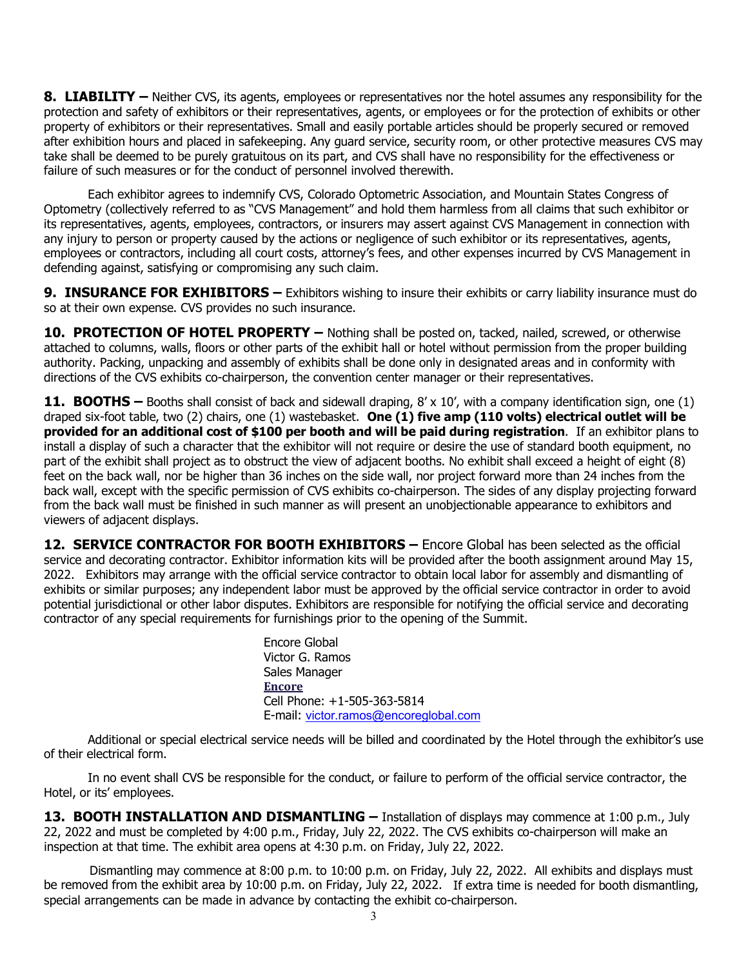**8. LIABILITY –** Neither CVS, its agents, employees or representatives nor the hotel assumes any responsibility for the protection and safety of exhibitors or their representatives, agents, or employees or for the protection of exhibits or other property of exhibitors or their representatives. Small and easily portable articles should be properly secured or removed after exhibition hours and placed in safekeeping. Any guard service, security room, or other protective measures CVS may take shall be deemed to be purely gratuitous on its part, and CVS shall have no responsibility for the effectiveness or failure of such measures or for the conduct of personnel involved therewith.

Each exhibitor agrees to indemnify CVS, Colorado Optometric Association, and Mountain States Congress of Optometry (collectively referred to as "CVS Management" and hold them harmless from all claims that such exhibitor or its representatives, agents, employees, contractors, or insurers may assert against CVS Management in connection with any injury to person or property caused by the actions or negligence of such exhibitor or its representatives, agents, employees or contractors, including all court costs, attorney's fees, and other expenses incurred by CVS Management in defending against, satisfying or compromising any such claim.

**9. INSURANCE FOR EXHIBITORS –** Exhibitors wishing to insure their exhibits or carry liability insurance must do so at their own expense. CVS provides no such insurance.

**10. PROTECTION OF HOTEL PROPERTY –** Nothing shall be posted on, tacked, nailed, screwed, or otherwise attached to columns, walls, floors or other parts of the exhibit hall or hotel without permission from the proper building authority. Packing, unpacking and assembly of exhibits shall be done only in designated areas and in conformity with directions of the CVS exhibits co-chairperson, the convention center manager or their representatives.

**11. BOOTHS –** Booths shall consist of back and sidewall draping, 8' x 10', with a company identification sign, one (1) draped six-foot table, two (2) chairs, one (1) wastebasket. **One (1) five amp (110 volts) electrical outlet will be provided for an additional cost of \$100 per booth and will be paid during registration**. If an exhibitor plans to install a display of such a character that the exhibitor will not require or desire the use of standard booth equipment, no part of the exhibit shall project as to obstruct the view of adjacent booths. No exhibit shall exceed a height of eight (8) feet on the back wall, nor be higher than 36 inches on the side wall, nor project forward more than 24 inches from the back wall, except with the specific permission of CVS exhibits co-chairperson. The sides of any display projecting forward from the back wall must be finished in such manner as will present an unobjectionable appearance to exhibitors and viewers of adjacent displays.

**12. SERVICE CONTRACTOR FOR BOOTH EXHIBITORS –** Encore Global has been selected as the official service and decorating contractor. Exhibitor information kits will be provided after the booth assignment around May 15, 2022. Exhibitors may arrange with the official service contractor to obtain local labor for assembly and dismantling of exhibits or similar purposes; any independent labor must be approved by the official service contractor in order to avoid potential jurisdictional or other labor disputes. Exhibitors are responsible for notifying the official service and decorating contractor of any special requirements for furnishings prior to the opening of the Summit.

> Encore Global Victor G. Ramos Sales Manager **[Encore](https://encoreglobal.com/)** Cell Phone: +1-505-363-5814 E-mail: [victor.ramos@encoreglobal.com](mailto:victor.ramos@encoreglobal.com)

Additional or special electrical service needs will be billed and coordinated by the Hotel through the exhibitor's use of their electrical form.

In no event shall CVS be responsible for the conduct, or failure to perform of the official service contractor, the Hotel, or its' employees.

**13. BOOTH INSTALLATION AND DISMANTLING –** Installation of displays may commence at 1:00 p.m., July 22, 2022 and must be completed by 4:00 p.m., Friday, July 22, 2022. The CVS exhibits co-chairperson will make an inspection at that time. The exhibit area opens at 4:30 p.m. on Friday, July 22, 2022.

Dismantling may commence at 8:00 p.m. to 10:00 p.m. on Friday, July 22, 2022. All exhibits and displays must be removed from the exhibit area by 10:00 p.m. on Friday, July 22, 2022. If extra time is needed for booth dismantling, special arrangements can be made in advance by contacting the exhibit co-chairperson.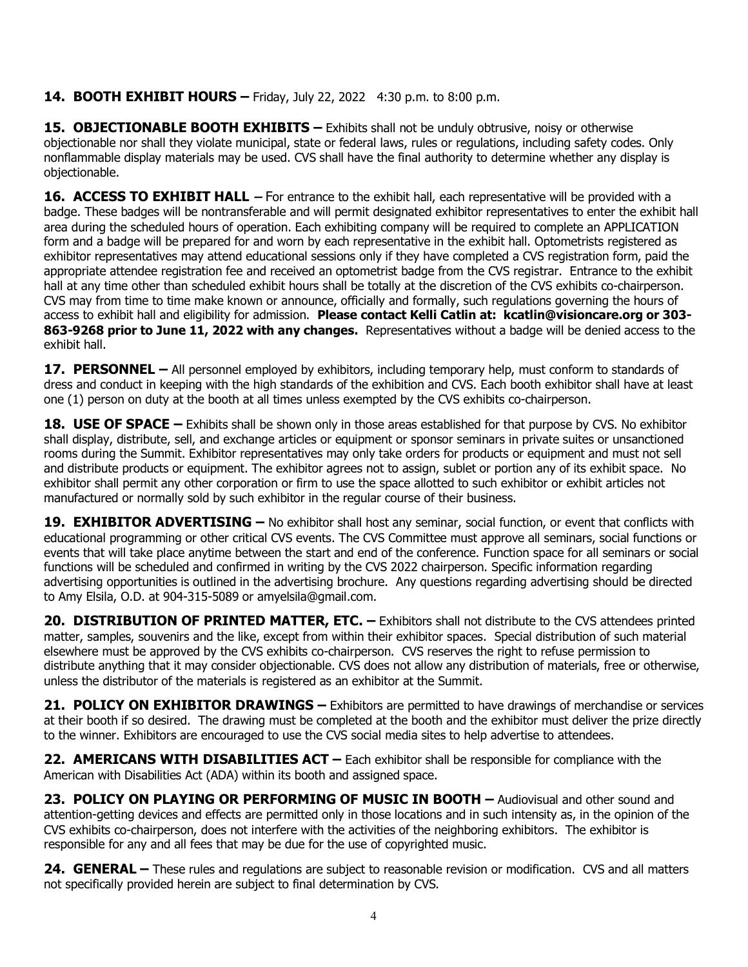## **14. BOOTH EXHIBIT HOURS –** Friday, July 22, 2022 4:30 p.m. to 8:00 p.m.

**15. OBJECTIONABLE BOOTH EXHIBITS –** Exhibits shall not be unduly obtrusive, noisy or otherwise objectionable nor shall they violate municipal, state or federal laws, rules or regulations, including safety codes. Only nonflammable display materials may be used. CVS shall have the final authority to determine whether any display is objectionable.

**16. ACCESS TO EXHIBIT HALL** – For entrance to the exhibit hall, each representative will be provided with a badge. These badges will be nontransferable and will permit designated exhibitor representatives to enter the exhibit hall area during the scheduled hours of operation. Each exhibiting company will be required to complete an APPLICATION form and a badge will be prepared for and worn by each representative in the exhibit hall. Optometrists registered as exhibitor representatives may attend educational sessions only if they have completed a CVS registration form, paid the appropriate attendee registration fee and received an optometrist badge from the CVS registrar. Entrance to the exhibit hall at any time other than scheduled exhibit hours shall be totally at the discretion of the CVS exhibits co-chairperson. CVS may from time to time make known or announce, officially and formally, such regulations governing the hours of access to exhibit hall and eligibility for admission. **Please contact Kelli Catlin at: kcatlin@visioncare.org or 303- 863-9268 prior to June 11, 2022 with any changes.** Representatives without a badge will be denied access to the exhibit hall.

**17. PERSONNEL –** All personnel employed by exhibitors, including temporary help, must conform to standards of dress and conduct in keeping with the high standards of the exhibition and CVS. Each booth exhibitor shall have at least one (1) person on duty at the booth at all times unless exempted by the CVS exhibits co-chairperson.

**18. USE OF SPACE –** Exhibits shall be shown only in those areas established for that purpose by CVS. No exhibitor shall display, distribute, sell, and exchange articles or equipment or sponsor seminars in private suites or unsanctioned rooms during the Summit. Exhibitor representatives may only take orders for products or equipment and must not sell and distribute products or equipment. The exhibitor agrees not to assign, sublet or portion any of its exhibit space. No exhibitor shall permit any other corporation or firm to use the space allotted to such exhibitor or exhibit articles not manufactured or normally sold by such exhibitor in the regular course of their business.

**19. EXHIBITOR ADVERTISING –** No exhibitor shall host any seminar, social function, or event that conflicts with educational programming or other critical CVS events. The CVS Committee must approve all seminars, social functions or events that will take place anytime between the start and end of the conference. Function space for all seminars or social functions will be scheduled and confirmed in writing by the CVS 2022 chairperson. Specific information regarding advertising opportunities is outlined in the advertising brochure. Any questions regarding advertising should be directed to Amy Elsila, O.D. at 904-315-5089 or amyelsila@gmail.com.

**20. DISTRIBUTION OF PRINTED MATTER, ETC. –** Exhibitors shall not distribute to the CVS attendees printed matter, samples, souvenirs and the like, except from within their exhibitor spaces. Special distribution of such material elsewhere must be approved by the CVS exhibits co-chairperson. CVS reserves the right to refuse permission to distribute anything that it may consider objectionable. CVS does not allow any distribution of materials, free or otherwise, unless the distributor of the materials is registered as an exhibitor at the Summit.

**21. POLICY ON EXHIBITOR DRAWINGS –** Exhibitors are permitted to have drawings of merchandise or services at their booth if so desired. The drawing must be completed at the booth and the exhibitor must deliver the prize directly to the winner. Exhibitors are encouraged to use the CVS social media sites to help advertise to attendees.

**22. AMERICANS WITH DISABILITIES ACT –** Each exhibitor shall be responsible for compliance with the American with Disabilities Act (ADA) within its booth and assigned space.

**23. POLICY ON PLAYING OR PERFORMING OF MUSIC IN BOOTH –** Audiovisual and other sound and attention-getting devices and effects are permitted only in those locations and in such intensity as, in the opinion of the CVS exhibits co-chairperson, does not interfere with the activities of the neighboring exhibitors. The exhibitor is responsible for any and all fees that may be due for the use of copyrighted music.

**24. GENERAL –** These rules and regulations are subject to reasonable revision or modification. CVS and all matters not specifically provided herein are subject to final determination by CVS.